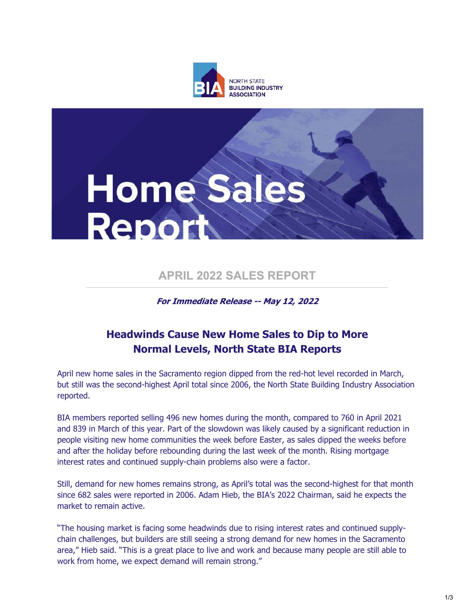



# **APRIL 2022 SALES REPORT**

## For Immediate Release -- May 12, 2022

# **Headwinds Cause New Home Sales to Dip to More Normal Levels, North State BIA Reports**

April new home sales in the Sacramento region dipped from the red-hot level recorded in March, but still was the second-highest April total since 2006, the North State Building Industry Association reported.

BIA members reported selling 496 new homes during the month, compared to 760 in April 2021 and 839 in March of this year. Part of the slowdown was likely caused by a significant reduction in people visiting new home communities the week before Easter, as sales dipped the weeks before and after the holiday before rebounding during the last week of the month. Rising mortgage interest rates and continued supply-chain problems also were a factor.

Still, demand for new homes remains strong, as April's total was the second-highest for that month since 682 sales were reported in 2006. Adam Hieb, the BIA's 2022 Chairman, said he expects the market to remain active.

"The housing market is facing some headwinds due to rising interest rates and continued supplychain challenges, but builders are still seeing a strong demand for new homes in the Sacramento area," Hieb said. "This is a great place to live and work and because many people are still able to work from home, we expect demand will remain strong."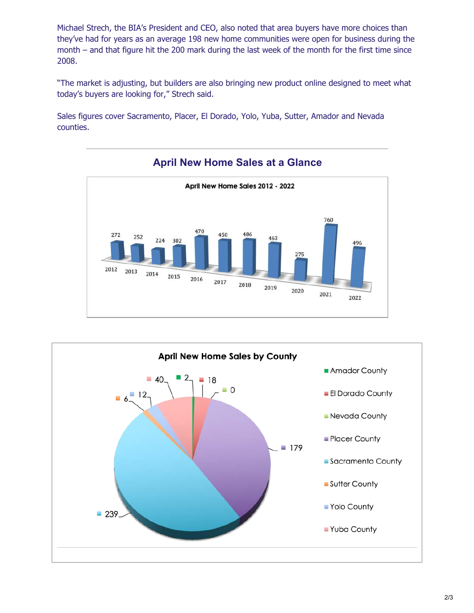month – and that figure hit the 200 mark during the last week of the month for the first time since 2008. Michael Strech, the BIA's President and CEO, also noted that area buyers have more choices than they've had for years as an average 198 new home communities were open for business during the

"The market is adjusting, but builders are also bringing new product online designed to meet what today's buyers are looking for," Strech said.

Sales figures cover Sacramento, Placer, El Dorado, Yolo, Yuba, Sutter, Amador and Nevada counties.



## **April New Home Sales at a Glance**